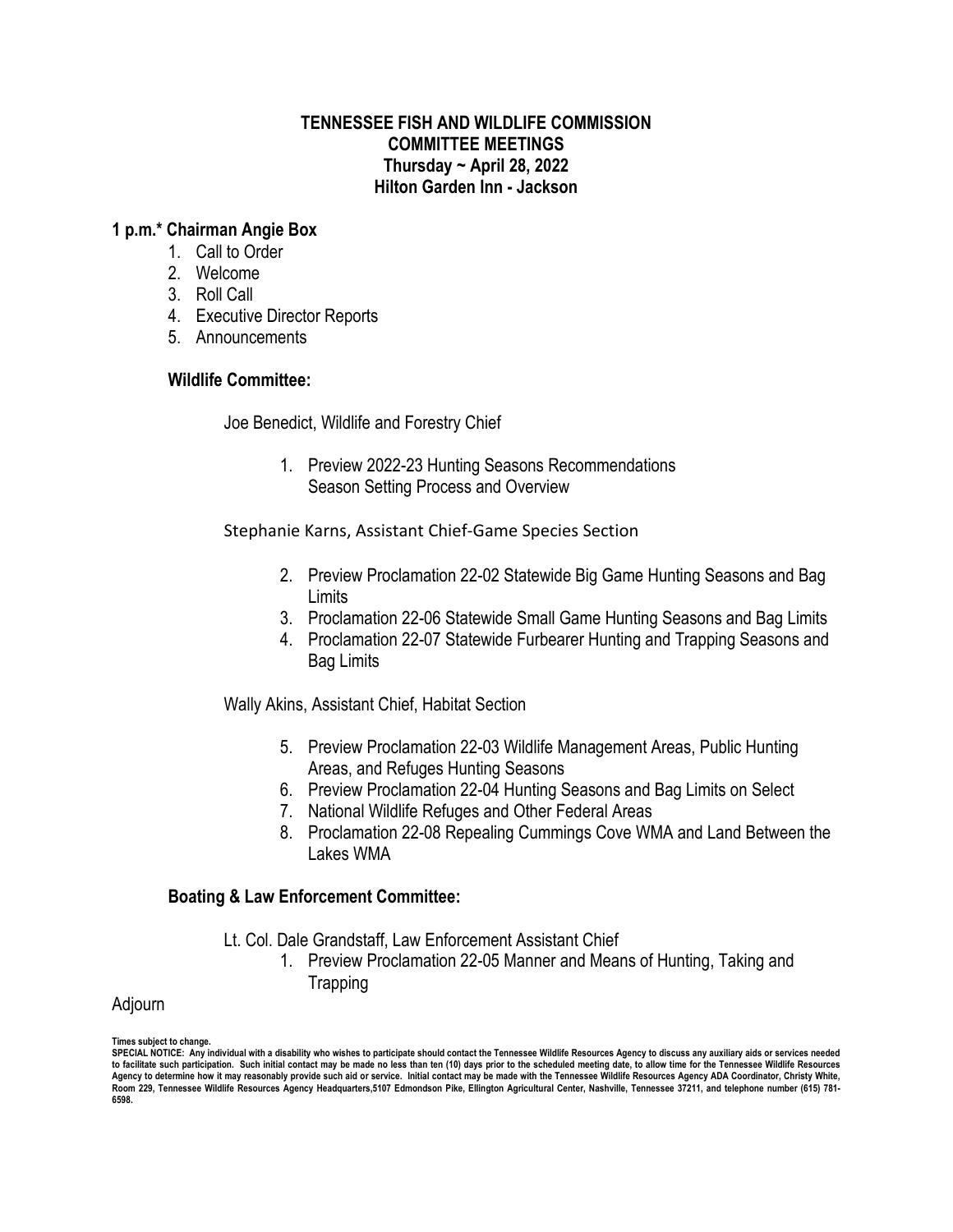### **TENNESSEE FISH AND WILDLIFE COMMISSION COMMITTEE MEETINGS Thursday ~ April 28, 2022 Hilton Garden Inn - Jackson**

### **1 p.m.\* Chairman Angie Box**

- 1. Call to Order
- 2. Welcome
- 3. Roll Call
- 4. Executive Director Reports
- 5. Announcements

# **Wildlife Committee:**

Joe Benedict, Wildlife and Forestry Chief

1. Preview 2022-23 Hunting Seasons Recommendations Season Setting Process and Overview

Stephanie Karns, Assistant Chief-Game Species Section

- 2. Preview Proclamation 22-02 Statewide Big Game Hunting Seasons and Bag Limits
- 3. Proclamation 22-06 Statewide Small Game Hunting Seasons and Bag Limits
- 4. Proclamation 22-07 Statewide Furbearer Hunting and Trapping Seasons and Bag Limits

Wally Akins, Assistant Chief, Habitat Section

- 5. Preview Proclamation 22-03 Wildlife Management Areas, Public Hunting Areas, and Refuges Hunting Seasons
- 6. Preview Proclamation 22-04 Hunting Seasons and Bag Limits on Select
- 7. National Wildlife Refuges and Other Federal Areas
- 8. Proclamation 22-08 Repealing Cummings Cove WMA and Land Between the Lakes WMA

# **Boating & Law Enforcement Committee:**

- Lt. Col. Dale Grandstaff, Law Enforcement Assistant Chief
	- 1. Preview Proclamation 22-05 Manner and Means of Hunting, Taking and Trapping

# Adjourn

**Times subject to change. SPECIAL NOTICE: Any individual with a disability who wishes to participate should contact the Tennessee Wildlife Resources Agency to discuss any auxiliary aids or services needed to facilitate such participation. Such initial contact may be made no less than ten (10) days prior to the scheduled meeting date, to allow time for the Tennessee Wildlife Resources**  Agency to determine how it may reasonably provide such aid or service. Initial contact may be made with the Tennessee Wildlife Resources Agency ADA Coordinator, Christy White,<br>Room 229, Tennessee Wildlife Resources Agency **6598.**